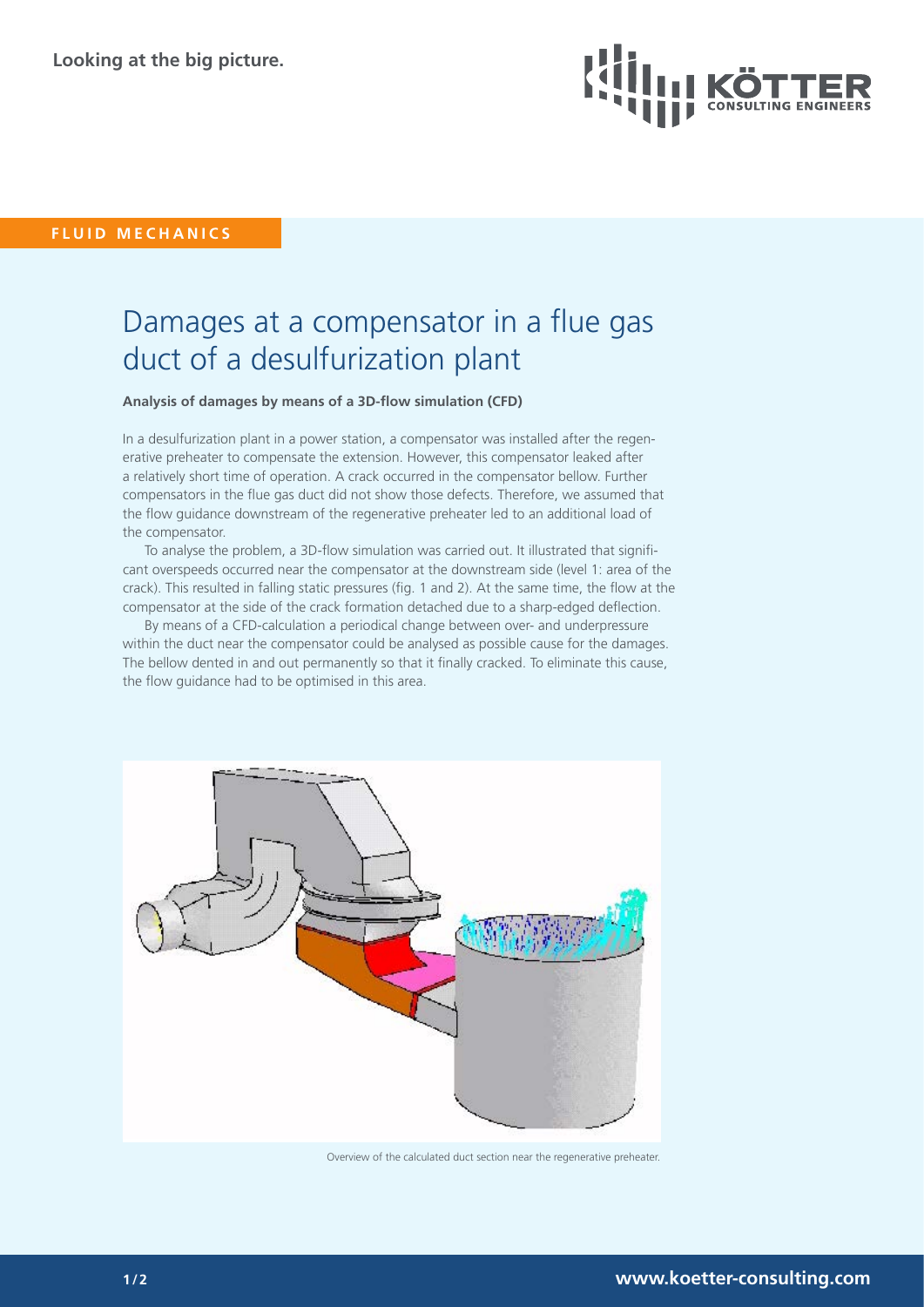

**FLUID MECHANICS**

## Damages at a compensator in a flue gas duct of a desulfurization plant

**Analysis of damages by means of a 3D-flow simulation (CFD)** 

In a desulfurization plant in a power station, a compensator was installed after the regenerative preheater to compensate the extension. However, this compensator leaked after a relatively short time of operation. A crack occurred in the compensator bellow. Further compensators in the flue gas duct did not show those defects. Therefore, we assumed that the flow guidance downstream of the regenerative preheater led to an additional load of the compensator.

To analyse the problem, a 3D-flow simulation was carried out. It illustrated that significant overspeeds occurred near the compensator at the downstream side (level 1: area of the crack). This resulted in falling static pressures (fig. 1 and 2). At the same time, the flow at the compensator at the side of the crack formation detached due to a sharp-edged deflection.

By means of a CFD-calculation a periodical change between over- and underpressure within the duct near the compensator could be analysed as possible cause for the damages. The bellow dented in and out permanently so that it finally cracked. To eliminate this cause, the flow guidance had to be optimised in this area.



Overview of the calculated duct section near the regenerative preheater.